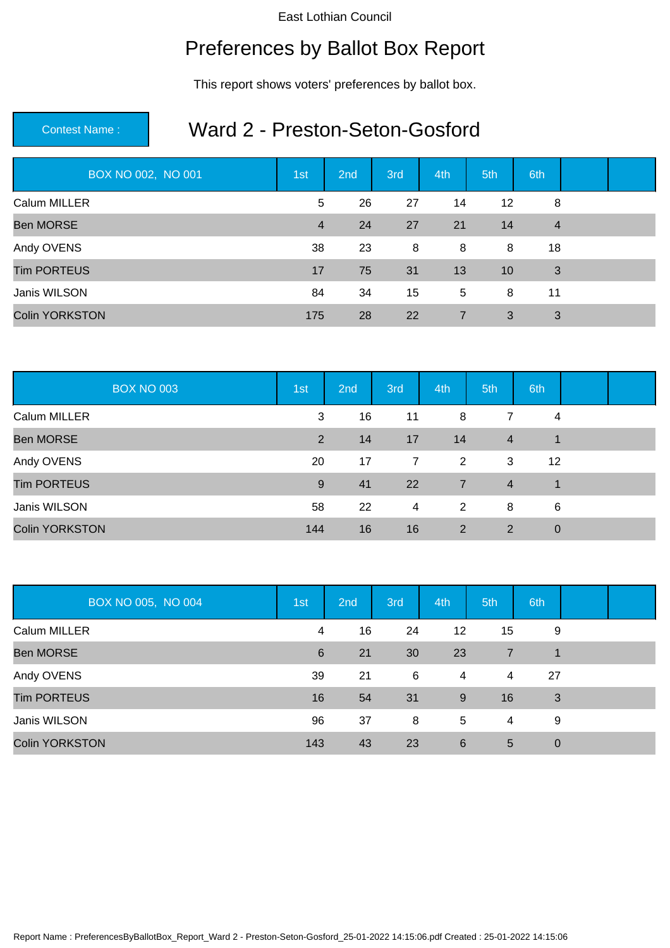## Preferences by Ballot Box Report

This report shows voters' preferences by ballot box.

### Contest Name : Ward 2 - Preston-Seton-Gosford

| BOX NO 002, NO 001    | 1st            | 2nd | 3rd | 4th            | 5th | 6th            |  |
|-----------------------|----------------|-----|-----|----------------|-----|----------------|--|
| Calum MILLER          | 5              | 26  | 27  | 14             | 12  | 8              |  |
| <b>Ben MORSE</b>      | $\overline{4}$ | 24  | 27  | 21             | 14  | $\overline{4}$ |  |
| Andy OVENS            | 38             | 23  | 8   | 8              | 8   | 18             |  |
| <b>Tim PORTEUS</b>    | 17             | 75  | 31  | 13             | 10  | 3              |  |
| Janis WILSON          | 84             | 34  | 15  | 5              | 8   | 11             |  |
| <b>Colin YORKSTON</b> | 175            | 28  | 22  | $\overline{7}$ | 3   | 3              |  |

| <b>BOX NO 003</b>     | 1st | 2nd | 3rd | 4th            | 5th            | 6th         |  |
|-----------------------|-----|-----|-----|----------------|----------------|-------------|--|
| Calum MILLER          | 3   | 16  | 11  | 8              | 7              | 4           |  |
| <b>Ben MORSE</b>      | 2   | 14  | 17  | 14             | $\overline{4}$ | 1           |  |
| Andy OVENS            | 20  | 17  | 7   | 2              | 3              | 12          |  |
| <b>Tim PORTEUS</b>    | 9   | 41  | 22  | $\overline{7}$ | $\overline{4}$ | $\mathbf 1$ |  |
| Janis WILSON          | 58  | 22  | 4   | 2              | 8              | 6           |  |
| <b>Colin YORKSTON</b> | 144 | 16  | 16  | 2              | 2              | $\mathbf 0$ |  |

| BOX NO 005, NO 004    | 1st | 2nd | 3rd | 4th               | 5th             | 6th         |  |
|-----------------------|-----|-----|-----|-------------------|-----------------|-------------|--|
| Calum MILLER          | 4   | 16  | 24  | $12 \overline{ }$ | 15              | 9           |  |
| <b>Ben MORSE</b>      | 6   | 21  | 30  | 23                | $\overline{7}$  |             |  |
| Andy OVENS            | 39  | 21  | 6   | 4                 | 4               | 27          |  |
| <b>Tim PORTEUS</b>    | 16  | 54  | 31  | 9                 | 16              | 3           |  |
| Janis WILSON          | 96  | 37  | 8   | 5                 | 4               | 9           |  |
| <b>Colin YORKSTON</b> | 143 | 43  | 23  | 6                 | $5\overline{)}$ | $\mathbf 0$ |  |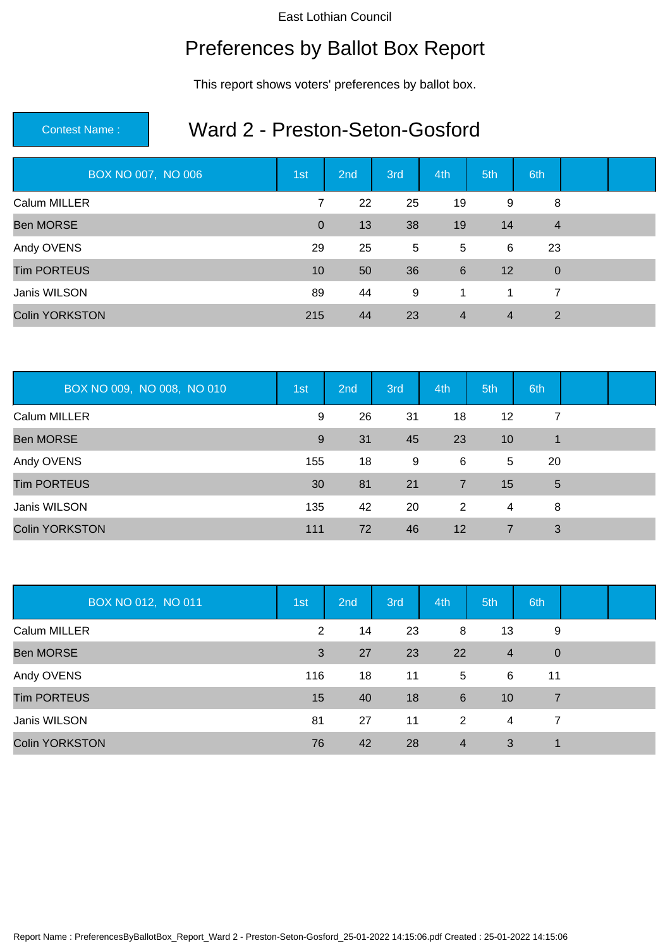## Preferences by Ballot Box Report

This report shows voters' preferences by ballot box.

### Contest Name : Ward 2 - Preston-Seton-Gosford

| BOX NO 007, NO 006    | 1st            | 2nd | 3rd | 4th            | 5th            | 6th            |  |
|-----------------------|----------------|-----|-----|----------------|----------------|----------------|--|
| Calum MILLER          | 7              | 22  | 25  | 19             | 9              | 8              |  |
| <b>Ben MORSE</b>      | $\overline{0}$ | 13  | 38  | 19             | 14             | $\overline{4}$ |  |
| Andy OVENS            | 29             | 25  | 5   | 5              | 6              | 23             |  |
| <b>Tim PORTEUS</b>    | 10             | 50  | 36  | 6              | 12             | $\mathbf 0$    |  |
| Janis WILSON          | 89             | 44  | 9   | 1              | $\mathbf 1$    | 7              |  |
| <b>Colin YORKSTON</b> | 215            | 44  | 23  | $\overline{4}$ | $\overline{4}$ | 2              |  |

| BOX NO 009, NO 008, NO 010 | 1st | 2nd | 3rd | 4th            | 5th            | 6th |  |
|----------------------------|-----|-----|-----|----------------|----------------|-----|--|
| Calum MILLER               | 9   | 26  | 31  | 18             | 12             | 7   |  |
| <b>Ben MORSE</b>           | 9   | 31  | 45  | 23             | 10             | 1   |  |
| Andy OVENS                 | 155 | 18  | 9   | 6              | $\overline{5}$ | 20  |  |
| <b>Tim PORTEUS</b>         | 30  | 81  | 21  | $\overline{7}$ | 15             | 5   |  |
| Janis WILSON               | 135 | 42  | 20  | 2              | 4              | 8   |  |
| <b>Colin YORKSTON</b>      | 111 | 72  | 46  | 12             | 7              | 3   |  |

| BOX NO 012, NO 011    | 1st            | 2nd | 3rd | 4th            | 5th            | 6th            |  |
|-----------------------|----------------|-----|-----|----------------|----------------|----------------|--|
| Calum MILLER          | $\overline{2}$ | 14  | 23  | 8              | 13             | 9              |  |
| <b>Ben MORSE</b>      | 3              | 27  | 23  | 22             | $\overline{4}$ | $\overline{0}$ |  |
| Andy OVENS            | 116            | 18  | 11  | 5              | 6              | 11             |  |
| <b>Tim PORTEUS</b>    | 15             | 40  | 18  | 6              | 10             | 7              |  |
| Janis WILSON          | 81             | 27  | 11  | 2              | 4              | 7              |  |
| <b>Colin YORKSTON</b> | 76             | 42  | 28  | $\overline{4}$ | 3              | 1              |  |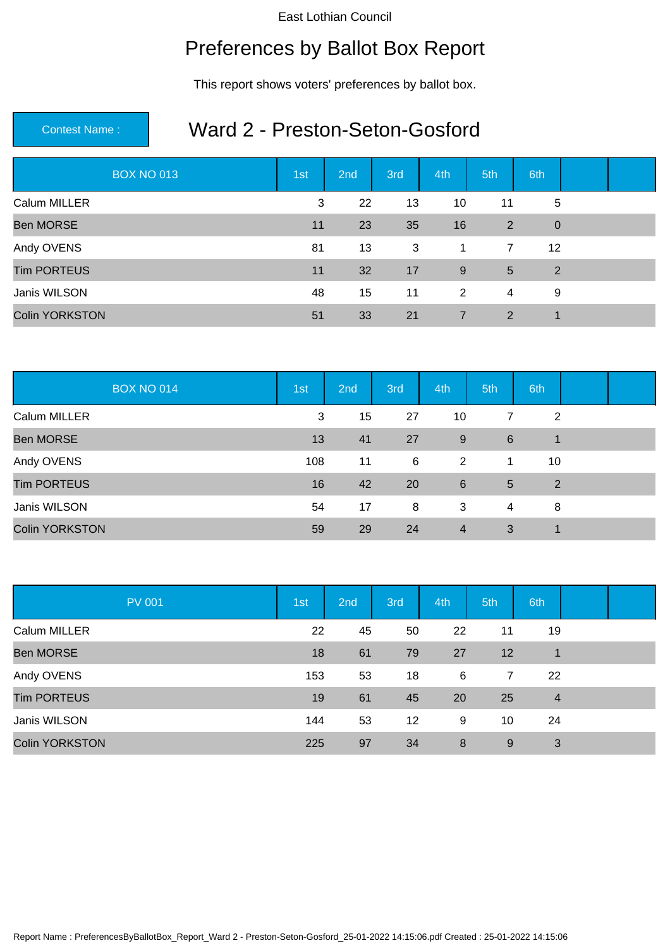## Preferences by Ballot Box Report

This report shows voters' preferences by ballot box.

### Contest Name : Ward 2 - Preston-Seton-Gosford

| <b>BOX NO 013</b>     | 1st | 2nd | 3rd       | 4th            | 5th             | 6th            |  |
|-----------------------|-----|-----|-----------|----------------|-----------------|----------------|--|
| Calum MILLER          | 3   | 22  | 13        | 10             | 11              | 5              |  |
| <b>Ben MORSE</b>      | 11  | 23  | 35        | 16             | 2               | $\overline{0}$ |  |
| Andy OVENS            | 81  | 13  | 3         | $\mathbf 1$    | $\overline{7}$  | 12             |  |
| <b>Tim PORTEUS</b>    | 11  | 32  | 17        | 9              | $5\overline{)}$ | 2              |  |
| Janis WILSON          | 48  | 15  | 11        | 2              | 4               | 9              |  |
| <b>Colin YORKSTON</b> | 51  | 33  | <b>21</b> | $\overline{7}$ | 2               | $\mathbf 1$    |  |

| <b>BOX NO 014</b>     | 1st | 2nd | 3rd | 4th            | 5th            | 6th |  |
|-----------------------|-----|-----|-----|----------------|----------------|-----|--|
| Calum MILLER          | 3   | 15  | 27  | 10             | $\overline{7}$ | 2   |  |
| <b>Ben MORSE</b>      | 13  | 41  | 27  | 9              | 6              | 1   |  |
| Andy OVENS            | 108 | 11  | - 6 | 2              | $\overline{1}$ | 10  |  |
| <b>Tim PORTEUS</b>    | 16  | 42  | 20  | 6              | 5              | 2   |  |
| Janis WILSON          | 54  | 17  | 8   | 3              | 4              | 8   |  |
| <b>Colin YORKSTON</b> | 59  | 29  | 24  | $\overline{4}$ | 3              |     |  |

| <b>PV 001</b>         | 1st | 2nd | 3rd | 4th | 5th | 6th            |  |
|-----------------------|-----|-----|-----|-----|-----|----------------|--|
| Calum MILLER          | 22  | 45  | 50  | 22  | 11  | 19             |  |
| <b>Ben MORSE</b>      | 18  | 61  | 79  | 27  | 12  | 1              |  |
| Andy OVENS            | 153 | 53  | 18  | 6   | 7   | 22             |  |
| <b>Tim PORTEUS</b>    | 19  | 61  | 45  | 20  | 25  | $\overline{4}$ |  |
| Janis WILSON          | 144 | 53  | 12  | 9   | 10  | 24             |  |
| <b>Colin YORKSTON</b> | 225 | 97  | 34  | 8   | 9   | 3              |  |